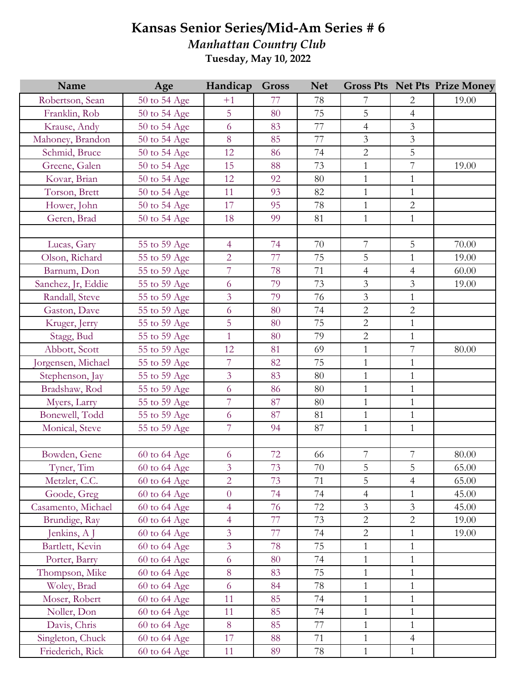## **Kansas Senior Series/Mid-Am Series # 6**

*Manhattan Country Club* **Tuesday, May 10, 2022**

| Name               | Age              | Handicap       | <b>Gross</b> | <b>Net</b> |                          |                | <b>Gross Pts Net Pts Prize Money</b> |
|--------------------|------------------|----------------|--------------|------------|--------------------------|----------------|--------------------------------------|
| Robertson, Sean    | 50 to 54 Age     | $+1$           | 77           | 78         | 7                        | $\overline{2}$ | 19.00                                |
| Franklin, Rob      | 50 to 54 Age     | 5              | 80           | 75         | 5                        | $\overline{4}$ |                                      |
| Krause, Andy       | 50 to 54 Age     | 6              | 83           | 77         | $\overline{4}$           | $\mathfrak{Z}$ |                                      |
| Mahoney, Brandon   | 50 to 54 Age     | 8              | 85           | 77         | $\overline{3}$           | $\mathfrak{Z}$ |                                      |
| Schmid, Bruce      | 50 to 54 Age     | 12             | 86           | 74         | $\overline{2}$           | 5              |                                      |
| Greene, Galen      | 50 to 54 Age     | 15             | 88           | 73         | $\mathbf{1}$             | 7              | 19.00                                |
| Kovar, Brian       | 50 to 54 Age     | 12             | 92           | 80         | $\mathbf{1}$             | $\mathbf{1}$   |                                      |
| Torson, Brett      | 50 to 54 Age     | 11             | 93           | 82         | $\mathbf{1}$             | $\mathbf{1}$   |                                      |
| Hower, John        | 50 to 54 Age     | 17             | 95           | 78         | $\mathbf{1}$             | $\overline{2}$ |                                      |
| Geren, Brad        | 50 to 54 Age     | 18             | 99           | 81         | $\mathbf{1}$             | $\mathbf{1}$   |                                      |
|                    |                  |                |              |            |                          |                |                                      |
| Lucas, Gary        | 55 to 59 Age     | $\overline{4}$ | 74           | 70         | 7                        | 5              | 70.00                                |
| Olson, Richard     | 55 to 59 Age     | $\overline{2}$ | 77           | 75         | 5                        | $\mathbf{1}$   | 19.00                                |
| Barnum, Don        | 55 to 59 Age     | $\overline{7}$ | 78           | 71         | $\overline{4}$           | $\overline{4}$ | 60.00                                |
| Sanchez, Jr, Eddie | 55 to 59 Age     | 6              | 79           | 73         | $\overline{3}$           | $\mathfrak{Z}$ | 19.00                                |
| Randall, Steve     | 55 to 59 Age     | $\overline{3}$ | 79           | 76         | $\overline{3}$           | $\mathbf{1}$   |                                      |
| Gaston, Dave       | 55 to 59 Age     | 6              | 80           | 74         | $\overline{2}$           | $\overline{2}$ |                                      |
| Kruger, Jerry      | 55 to 59 Age     | 5              | 80           | 75         | $\overline{2}$           | $\mathbf{1}$   |                                      |
| Stagg, Bud         | 55 to 59 Age     | 1              | 80           | 79         | $\overline{2}$           | $\mathbf{1}$   |                                      |
| Abbott, Scott      | 55 to 59 Age     | 12             | 81           | 69         | $\mathbf{1}$             | $\overline{7}$ | 80.00                                |
| orgensen, Michael  | 55 to 59 Age     | $\overline{7}$ | 82           | 75         | $\mathbf{1}$             | $\mathbf{1}$   |                                      |
| Stephenson, Jay    | 55 to 59 Age     | $\overline{3}$ | 83           | 80         | $\mathbf{1}$             | $\mathbf{1}$   |                                      |
| Bradshaw, Rod      | 55 to 59 Age     | 6              | 86           | 80         | $\mathbf{1}$             | $\mathbf{1}$   |                                      |
| Myers, Larry       | 55 to 59 Age     | $\overline{7}$ | 87           | 80         | $\mathbf{1}$             | $\mathbf 1$    |                                      |
| Bonewell, Todd     | 55 to 59 Age     | 6              | 87           | 81         | $\mathbf{1}$             | $\mathbf{1}$   |                                      |
| Monical, Steve     | 55 to 59 Age     | $\overline{7}$ | 94           | 87         | $\mathbf{1}$             | $\mathbf{1}$   |                                      |
|                    |                  |                |              |            |                          |                |                                      |
| Bowden, Gene       | 60 to 64 Age     | 6              | 72           | 66         | $\overline{\mathcal{I}}$ | 7              | 80.00                                |
| Tyner, Tim         | 60 to 64 Age     | 3 <sup>1</sup> | 73           | 70         | 5                        | $\overline{5}$ | 65.00                                |
| Metzler, C.C.      | $60$ to $64$ Age | $\overline{2}$ | 73           | 71         | $\overline{5}$           | $\overline{4}$ | 65.00                                |
| Goode, Greg        | 60 to 64 Age     | $\overline{0}$ | 74           | 74         | $\overline{4}$           | $\mathbf{1}$   | 45.00                                |
| Casamento, Michael | 60 to 64 Age     | $\overline{4}$ | 76           | 72         | $\overline{3}$           | $\mathfrak{Z}$ | 45.00                                |
| Brundige, Ray      | 60 to 64 Age     | $\overline{4}$ | 77           | 73         | $\overline{2}$           | $\overline{2}$ | 19.00                                |
| Jenkins, A J       | 60 to 64 Age     | 3              | 77           | 74         | $\overline{2}$           | $\mathbf{1}$   | 19.00                                |
| Bartlett, Kevin    | 60 to 64 Age     | $\overline{3}$ | 78           | 75         | $\mathbf{1}$             | $\mathbf 1$    |                                      |
| Porter, Barry      | 60 to 64 Age     | 6              | 80           | 74         | $\mathbf{1}$             | $\mathbf{1}$   |                                      |
| Thompson, Mike     | 60 to 64 Age     | 8              | 83           | 75         | $\mathbf{1}$             | $\,1\,$        |                                      |
| Woley, Brad        | 60 to 64 Age     | 6              | 84           | 78         | $\mathbf{1}$             | $\mathbf{1}$   |                                      |
| Moser, Robert      | 60 to 64 Age     | 11             | 85           | 74         | $\mathbf{1}$             | $\mathbf{1}$   |                                      |
| Noller, Don        | 60 to 64 Age     | 11             | 85           | 74         | $\mathbf{1}$             | $\mathbf{1}$   |                                      |
| Davis, Chris       | 60 to 64 Age     | 8              | 85           | 77         | $\mathbf{1}$             | $\mathbf{1}$   |                                      |
| Singleton, Chuck   | 60 to 64 Age     | 17             | 88           | 71         | $\mathbf{1}$             | $\overline{4}$ |                                      |
| Friederich, Rick   | 60 to 64 Age     | 11             | 89           | 78         | $\mathbf{1}$             | $\mathbf{1}$   |                                      |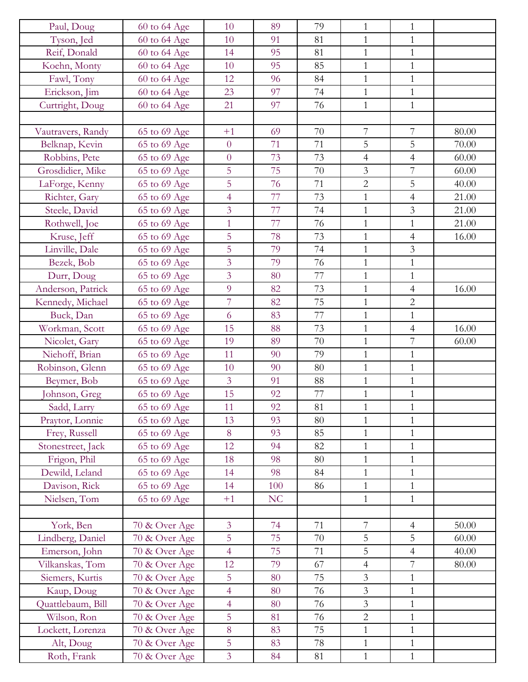| Paul, Doug        | 60 to 64 Age  | 10             | 89             | 79 | $\mathbf{1}$   | $\mathbf{1}$   |       |
|-------------------|---------------|----------------|----------------|----|----------------|----------------|-------|
| Tyson, Jed        | 60 to 64 Age  | 10             | 91             | 81 | $\mathbf{1}$   | $\mathbf{1}$   |       |
| Reif, Donald      | 60 to 64 Age  | 14             | 95             | 81 | $\mathbf{1}$   | $\mathbf{1}$   |       |
| Koehn, Monty      | 60 to 64 Age  | 10             | 95             | 85 | $\mathbf{1}$   | $\mathbf{1}$   |       |
| Fawl, Tony        | 60 to 64 Age  | 12             | 96             | 84 | $\mathbf{1}$   | $\mathbf{1}$   |       |
| Erickson, Jim     | 60 to 64 Age  | 23             | 97             | 74 | $\mathbf{1}$   | $\mathbf{1}$   |       |
| Curtright, Doug   | 60 to 64 Age  | 21             | 97             | 76 | $\mathbf{1}$   | $\mathbf{1}$   |       |
|                   |               |                |                |    |                |                |       |
| Vautravers, Randy | 65 to 69 Age  | $+1$           | 69             | 70 | $\overline{7}$ | 7              | 80.00 |
| Belknap, Kevin    | 65 to 69 Age  | $\overline{0}$ | 71             | 71 | 5              | 5              | 70.00 |
| Robbins, Pete     | 65 to 69 Age  | $\overline{0}$ | 73             | 73 | $\overline{4}$ | $\overline{4}$ | 60.00 |
| Grosdidier, Mike  | 65 to 69 Age  | 5              | 75             | 70 | $\mathfrak{Z}$ | $\overline{7}$ | 60.00 |
| LaForge, Kenny    | 65 to 69 Age  | 5              | 76             | 71 | $\overline{2}$ | 5              | 40.00 |
| Richter, Gary     | 65 to 69 Age  | $\overline{4}$ | 77             | 73 | $\mathbf{1}$   | $\overline{4}$ | 21.00 |
| Steele, David     | 65 to 69 Age  | 3              | 77             | 74 | $\mathbf{1}$   | $\mathfrak{Z}$ | 21.00 |
| Rothwell, Joe     | 65 to 69 Age  | $\mathbf{1}$   | 77             | 76 | $\mathbf 1$    | $\mathbf{1}$   | 21.00 |
| Kruse, Jeff       | 65 to 69 Age  | 5              | 78             | 73 | $\mathbf{1}$   | $\overline{4}$ | 16.00 |
| Linville, Dale    | 65 to 69 Age  | 5              | 79             | 74 | $\mathbf{1}$   | $\mathfrak{Z}$ |       |
| Bezek, Bob        | 65 to 69 Age  | 3              | 79             | 76 | $\mathbf{1}$   | $\mathbf{1}$   |       |
| Durr, Doug        | 65 to 69 Age  | $\overline{3}$ | 80             | 77 | $\mathbf{1}$   | $\mathbf{1}$   |       |
| Anderson, Patrick | 65 to 69 Age  | 9              | 82             | 73 | $\mathbf{1}$   | $\overline{4}$ | 16.00 |
| Kennedy, Michael  | 65 to 69 Age  | $\overline{7}$ | 82             | 75 | $\mathbf{1}$   | $\overline{2}$ |       |
| Buck, Dan         | 65 to 69 Age  | 6              | 83             | 77 | $\mathbf{1}$   | $\mathbf{1}$   |       |
| Workman, Scott    | 65 to 69 Age  | 15             | 88             | 73 | $\mathbf{1}$   | $\overline{4}$ | 16.00 |
| Nicolet, Gary     | 65 to 69 Age  | 19             | 89             | 70 | $\mathbf{1}$   | $\overline{7}$ | 60.00 |
| Niehoff, Brian    | 65 to 69 Age  | 11             | 90             | 79 | $\mathbf{1}$   | $\mathbf{1}$   |       |
| Robinson, Glenn   | 65 to 69 Age  | 10             | 90             | 80 | $\mathbf{1}$   | $\mathbf{1}$   |       |
| Beymer, Bob       | 65 to 69 Age  | $\overline{3}$ | 91             | 88 | $\mathbf{1}$   | $\mathbf{1}$   |       |
| Johnson, Greg     | 65 to 69 Age  | 15             | 92             | 77 | $\mathbf{1}$   | $\mathbf{1}$   |       |
| Sadd, Larry       | 65 to 69 Age  | 11             | 92             | 81 | $\mathbf{1}$   | 1              |       |
| Praytor, Lonnie   | 65 to 69 Age  | 13             | 93             | 80 | $\mathbf{1}$   | $\mathbf{1}$   |       |
| Frey, Russell     | 65 to 69 Age  | 8              | 93             | 85 | $\mathbf{1}$   | $\mathbf{1}$   |       |
| Stonestreet, Jack | 65 to 69 Age  | 12             | 94             | 82 | $\mathbf{1}$   | $\mathbf{1}$   |       |
| Frigon, Phil      | 65 to 69 Age  | 18             | 98             | 80 | $\mathbf{1}$   | $\mathbf{1}$   |       |
| Dewild, Leland    | 65 to 69 Age  | 14             | 98             | 84 | $\mathbf{1}$   | $\mathbf{1}$   |       |
| Davison, Rick     | 65 to 69 Age  | 14             | 100            | 86 | $\mathbf{1}$   | $\mathbf{1}$   |       |
| Nielsen, Tom      | 65 to 69 Age  | $+1$           | N <sub>C</sub> |    | $\mathbf{1}$   | $\mathbf{1}$   |       |
|                   |               |                |                |    |                |                |       |
| York, Ben         | 70 & Over Age | $\overline{3}$ | 74             | 71 | 7              | $\overline{4}$ | 50.00 |
| Lindberg, Daniel  | 70 & Over Age | 5              | 75             | 70 | $\mathsf S$    | 5              | 60.00 |
| Emerson, John     | 70 & Over Age | $\overline{4}$ | 75             | 71 | 5              | $\overline{4}$ | 40.00 |
| Vilkanskas, Tom   | 70 & Over Age | 12             | 79             | 67 | $\overline{4}$ | $\overline{7}$ | 80.00 |
| Siemers, Kurtis   | 70 & Over Age | 5              | 80             | 75 | $\mathfrak{Z}$ | $\mathbf{1}$   |       |
| Kaup, Doug        | 70 & Over Age | $\overline{4}$ | 80             | 76 | $\mathfrak{Z}$ | $\mathbf{1}$   |       |
| Quattlebaum, Bill | 70 & Over Age | $\overline{4}$ | 80             | 76 | $\mathfrak{Z}$ | $\mathbf{1}$   |       |
| Wilson, Ron       | 70 & Over Age | 5              | 81             | 76 | $\overline{c}$ | $\mathbf{1}$   |       |
| Lockett, Lorenza  | 70 & Over Age | 8              | 83             | 75 | $\mathbf{1}$   | $\mathbf{1}$   |       |
| Alt, Doug         | 70 & Over Age | 5              | 83             | 78 | $\mathbf{1}$   | $\mathbf{1}$   |       |
| Roth, Frank       | 70 & Over Age | $\overline{3}$ | 84             | 81 | $\mathbf{1}$   | $\mathbf{1}$   |       |